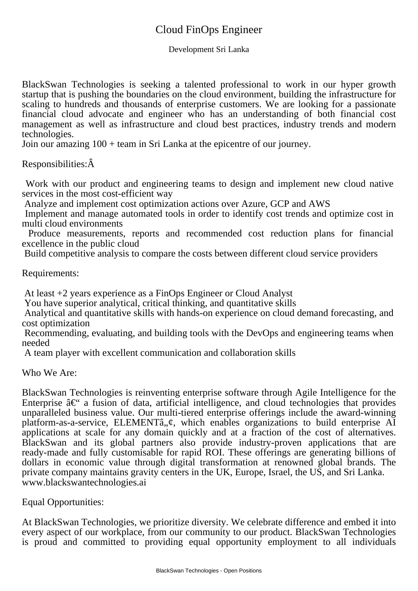## Cloud FinOps Engineer

Development Sri Lanka

BlackSwan Technologies is seeking a talented professional to work in our hyper growth startup that is pushing the boundaries on the cloud environment, building the infrastructure for scaling to hundreds and thousands of enterprise customers. We are looking for a passionate financial cloud advocate and engineer who has an understanding of both financial cost management as well as infrastructure and cloud best practices, industry trends and modern technologies.

Join our amazing 100 + team in Sri Lanka at the epicentre of our journey.

Responsibilities:Â

 Work with our product and engineering teams to design and implement new cloud native services in the most cost-efficient way

 Analyze and implement cost optimization actions over Azure, GCP and AWS

 Implement and manage automated tools in order to identify cost trends and optimize cost in multi cloud environments

 Produce measurements, reports and recommended cost reduction plans for financial excellence in the public cloud

 Build competitive analysis to compare the costs between different cloud service providers

## Requirements:

 At least +2 years experience as a FinOps Engineer or Cloud Analyst

 You have superior analytical, critical thinking, and quantitative skills

 Analytical and quantitative skills with hands-on experience on cloud demand forecasting, and cost optimization

 Recommending, evaluating, and building tools with the DevOps and engineering teams when needed

 A team player with excellent communication and collaboration skills

Who We Are:

BlackSwan Technologies is reinventing enterprise software through Agile Intelligence for the Enterprise  $\hat{a}\in\hat{a}$  a fusion of data, artificial intelligence, and cloud technologies that provides unparalleled business value. Our multi-tiered enterprise offerings include the award-winning platform-as-a-service, ELEMENTâ,  $\varphi$ , which enables organizations to build enterprise AI applications at scale for any domain quickly and at a fraction of the cost of alternatives. BlackSwan and its global partners also provide industry-proven applications that are ready-made and fully customisable for rapid ROI. These offerings are generating billions of dollars in economic value through digital transformation at renowned global brands. The private company maintains gravity centers in the UK, Europe, Israel, the US, and Sri Lanka. www.blackswantechnologies.ai

Equal Opportunities:

At BlackSwan Technologies, we prioritize diversity. We celebrate difference and embed it into every aspect of our workplace, from our community to our product. BlackSwan Technologies is proud and committed to providing equal opportunity employment to all individuals